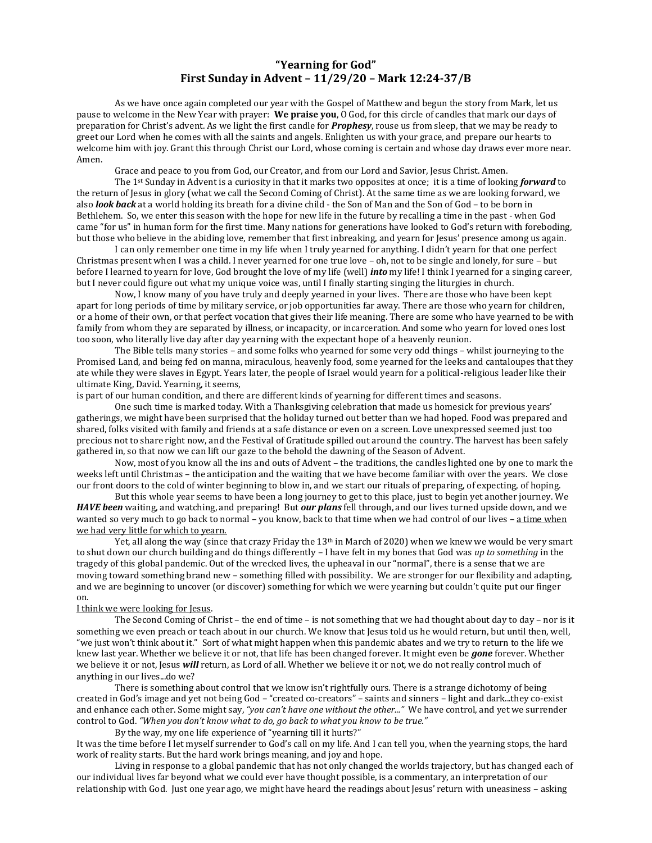## **"Yearning for God" First Sunday in Advent – 11/29/20 – Mark 12:24-37/B**

As we have once again completed our year with the Gospel of Matthew and begun the story from Mark, let us pause to welcome in the New Year with prayer: **We praise you**, O God, for this circle of candles that mark our days of preparation for Christ's advent. As we light the first candle for *Prophesy*, rouse us from sleep, that we may be ready to greet our Lord when he comes with all the saints and angels. Enlighten us with your grace, and prepare our hearts to welcome him with joy. Grant this through Christ our Lord, whose coming is certain and whose day draws ever more near. Amen.

Grace and peace to you from God, our Creator, and from our Lord and Savior, Jesus Christ. Amen.

The 1st Sunday in Advent is a curiosity in that it marks two opposites at once; it is a time of looking *forward* to the return of Jesus in glory (what we call the Second Coming of Christ). At the same time as we are looking forward, we also *look back* at a world holding its breath for a divine child - the Son of Man and the Son of God – to be born in Bethlehem. So, we enter this season with the hope for new life in the future by recalling a time in the past - when God came "for us" in human form for the first time. Many nations for generations have looked to God's return with foreboding, but those who believe in the abiding love, remember that first inbreaking, and yearn for Jesus' presence among us again.

I can only remember one time in my life when I truly yearned for anything. I didn't yearn for that one perfect Christmas present when I was a child. I never yearned for one true love – oh, not to be single and lonely, for sure – but before I learned to yearn for love, God brought the love of my life (well) *into* my life! I think I yearned for a singing career, but I never could figure out what my unique voice was, until I finally starting singing the liturgies in church.

Now, I know many of you have truly and deeply yearned in your lives. There are those who have been kept apart for long periods of time by military service, or job opportunities far away. There are those who yearn for children, or a home of their own, or that perfect vocation that gives their life meaning. There are some who have yearned to be with family from whom they are separated by illness, or incapacity, or incarceration. And some who yearn for loved ones lost too soon, who literally live day after day yearning with the expectant hope of a heavenly reunion.

The Bible tells many stories – and some folks who yearned for some very odd things – whilst journeying to the Promised Land, and being fed on manna, miraculous, heavenly food, some yearned for the leeks and cantaloupes that they ate while they were slaves in Egypt. Years later, the people of Israel would yearn for a political-religious leader like their ultimate King, David. Yearning, it seems,

is part of our human condition, and there are different kinds of yearning for different times and seasons.

One such time is marked today. With a Thanksgiving celebration that made us homesick for previous years' gatherings, we might have been surprised that the holiday turned out better than we had hoped. Food was prepared and shared, folks visited with family and friends at a safe distance or even on a screen. Love unexpressed seemed just too precious not to share right now, and the Festival of Gratitude spilled out around the country. The harvest has been safely gathered in, so that now we can lift our gaze to the behold the dawning of the Season of Advent.

Now, most of you know all the ins and outs of Advent – the traditions, the candles lighted one by one to mark the weeks left until Christmas – the anticipation and the waiting that we have become familiar with over the years. We close our front doors to the cold of winter beginning to blow in, and we start our rituals of preparing, of expecting, of hoping.

But this whole year seems to have been a long journey to get to this place, just to begin yet another journey. We *HAVE been* waiting, and watching, and preparing! But *our plans* fell through, and our lives turned upside down, and we wanted so very much to go back to normal – you know, back to that time when we had control of our lives – a time when we had very little for which to yearn.

Yet, all along the way (since that crazy Friday the 13<sup>th</sup> in March of 2020) when we knew we would be very smart to shut down our church building and do things differently – I have felt in my bones that God was *up to something* in the tragedy of this global pandemic. Out of the wrecked lives, the upheaval in our "normal", there is a sense that we are moving toward something brand new – something filled with possibility. We are stronger for our flexibility and adapting, and we are beginning to uncover (or discover) something for which we were yearning but couldn't quite put our finger on.

## I think we were looking for Jesus.

The Second Coming of Christ – the end of time – is not something that we had thought about day to day – nor is it something we even preach or teach about in our church. We know that Jesus told us he would return, but until then, well, "we just won't think about it." Sort of what might happen when this pandemic abates and we try to return to the life we knew last year. Whether we believe it or not, that life has been changed forever. It might even be *gone* forever. Whether we believe it or not, Jesus *will* return, as Lord of all. Whether we believe it or not, we do not really control much of anything in our lives...do we?

There is something about control that we know isn't rightfully ours. There is a strange dichotomy of being created in God's image and yet not being God – "created co-creators" – saints and sinners – light and dark...they co-exist and enhance each other. Some might say, *"you can't have one without the other..."* We have control, and yet we surrender control to God. *"When you don't know what to do, go back to what you know to be true."* 

By the way, my one life experience of "yearning till it hurts?"

It was the time before I let myself surrender to God's call on my life. And I can tell you, when the yearning stops, the hard work of reality starts. But the hard work brings meaning, and joy and hope.

Living in response to a global pandemic that has not only changed the worlds trajectory, but has changed each of our individual lives far beyond what we could ever have thought possible, is a commentary, an interpretation of our relationship with God. Just one year ago, we might have heard the readings about Jesus' return with uneasiness – asking